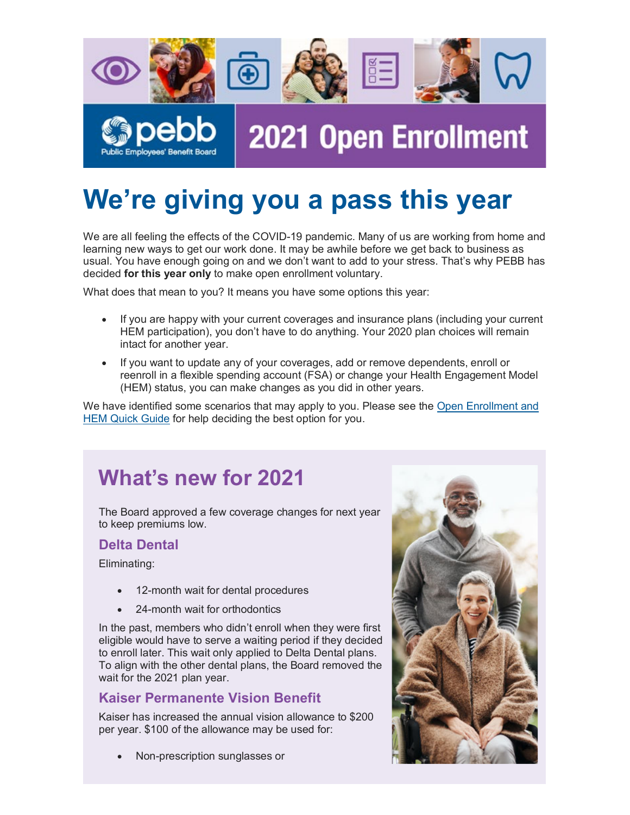

# **We're giving you a pass this year**

We are all feeling the effects of the COVID-19 pandemic. Many of us are working from home and learning new ways to get our work done. It may be awhile before we get back to business as usual. You have enough going on and we don't want to add to your stress. That's why PEBB has decided **for this year only** to make open enrollment voluntary.

What does that mean to you? It means you have some options this year:

- If you are happy with your current coverages and insurance plans (including your current HEM participation), you don't have to do anything. Your 2020 plan choices will remain intact for another year.
- If you want to update any of your coverages, add or remove dependents, enroll or reenroll in a flexible spending account (FSA) or change your Health Engagement Model (HEM) status, you can make changes as you did in other years.

We have identified some scenarios that may apply to you. Please see the [Open Enrollment and](https://urldefense.proofpoint.com/v2/url?u=https-3A__lnks.gd_l_eyJhbGciOiJIUzI1NiJ9.eyJidWxsZXRpbl9saW5rX2lkIjoxMDAsInVyaSI6ImJwMjpjbGljayIsImJ1bGxldGluX2lkIjoiMjAyMDA4MjAuMjU5MTI3OTEiLCJ1cmwiOiJodHRwczovL3NoYXJlZHN5c3RlbXMuZGhzb2hhLnN0YXRlLm9yLnVzL0RIU0Zvcm1zL1NlcnZlZC9tZTU1NzFBLnBkZiJ9.xUxyqvN7HBx9m7IwaAhET2wnmGsN5bk1qCSZeQYrtes_s_1035392178_br_82619017473-2Dl&d=DwMFAA&c=7gilq_oJKU2hnacFUWFTuYqjMQ111TRstgx6WoATdXo&r=aBjQlhFe3ca_h21qJ7sTZaBdDSkxs6j8uXKN7Rt-f00&m=26hquurau8sQ-Pa-d9Tny0PHrr8AAWZzJomLQxbTsMs&s=qVLxJC4_DyL1xZgAmRCeLsYooyKEGmEVdSGYA-fnTuc&e=)  [HEM Quick Guide](https://urldefense.proofpoint.com/v2/url?u=https-3A__lnks.gd_l_eyJhbGciOiJIUzI1NiJ9.eyJidWxsZXRpbl9saW5rX2lkIjoxMDAsInVyaSI6ImJwMjpjbGljayIsImJ1bGxldGluX2lkIjoiMjAyMDA4MjAuMjU5MTI3OTEiLCJ1cmwiOiJodHRwczovL3NoYXJlZHN5c3RlbXMuZGhzb2hhLnN0YXRlLm9yLnVzL0RIU0Zvcm1zL1NlcnZlZC9tZTU1NzFBLnBkZiJ9.xUxyqvN7HBx9m7IwaAhET2wnmGsN5bk1qCSZeQYrtes_s_1035392178_br_82619017473-2Dl&d=DwMFAA&c=7gilq_oJKU2hnacFUWFTuYqjMQ111TRstgx6WoATdXo&r=aBjQlhFe3ca_h21qJ7sTZaBdDSkxs6j8uXKN7Rt-f00&m=26hquurau8sQ-Pa-d9Tny0PHrr8AAWZzJomLQxbTsMs&s=qVLxJC4_DyL1xZgAmRCeLsYooyKEGmEVdSGYA-fnTuc&e=) for help deciding the best option for you.

### **What's new for 2021**

The Board approved a few coverage changes for next year to keep premiums low.

#### **Delta Dental**

Eliminating:

- 12-month wait for dental procedures
- 24-month wait for orthodontics

In the past, members who didn't enroll when they were first eligible would have to serve a waiting period if they decided to enroll later. This wait only applied to Delta Dental plans. To align with the other dental plans, the Board removed the wait for the 2021 plan year.

#### **Kaiser Permanente Vision Benefit**

Kaiser has increased the annual vision allowance to \$200 per year. \$100 of the allowance may be used for:

• Non-prescription sunglasses or

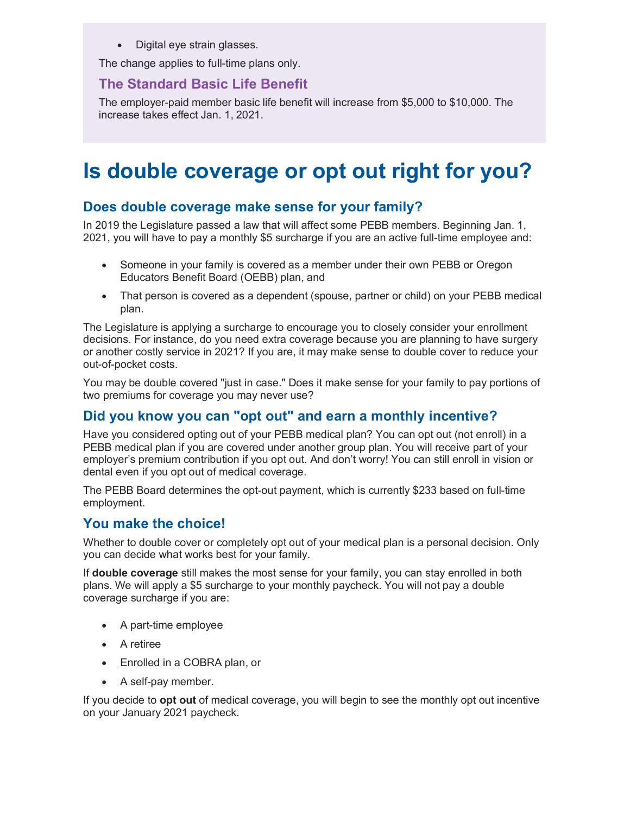• Digital eye strain glasses.

The change applies to full-time plans only.

#### **The Standard Basic Life Benefit**

The employer-paid member basic life benefit will increase from \$5,000 to \$10,000. The increase takes effect Jan. 1, 2021.

### **Is double coverage or opt out right for you?**

#### **Does double coverage make sense for your family?**

In 2019 the Legislature passed a law that will affect some PEBB members. Beginning Jan. 1, 2021, you will have to pay a monthly \$5 surcharge if you are an active full-time employee and:

- Someone in your family is covered as a member under their own PEBB or Oregon Educators Benefit Board (OEBB) plan, and
- That person is covered as a dependent (spouse, partner or child) on your PEBB medical plan.

The Legislature is applying a surcharge to encourage you to closely consider your enrollment decisions. For instance, do you need extra coverage because you are planning to have surgery or another costly service in 2021? If you are, it may make sense to double cover to reduce your out-of-pocket costs.

You may be double covered "just in case." Does it make sense for your family to pay portions of two premiums for coverage you may never use?

### **Did you know you can "opt out" and earn a monthly incentive?**

Have you considered opting out of your PEBB medical plan? You can opt out (not enroll) in a PEBB medical plan if you are covered under another group plan. You will receive part of your employer's premium contribution if you opt out. And don't worry! You can still enroll in vision or dental even if you opt out of medical coverage.

The PEBB Board determines the opt-out payment, which is currently \$233 based on full-time employment.

#### **You make the choice!**

Whether to double cover or completely opt out of your medical plan is a personal decision. Only you can decide what works best for your family.

If **double coverage** still makes the most sense for your family, you can stay enrolled in both plans. We will apply a \$5 surcharge to your monthly paycheck. You will not pay a double coverage surcharge if you are:

- A part-time employee
- A retiree
- Enrolled in a COBRA plan, or
- A self-pay member.

If you decide to **opt out** of medical coverage, you will begin to see the monthly opt out incentive on your January 2021 paycheck.